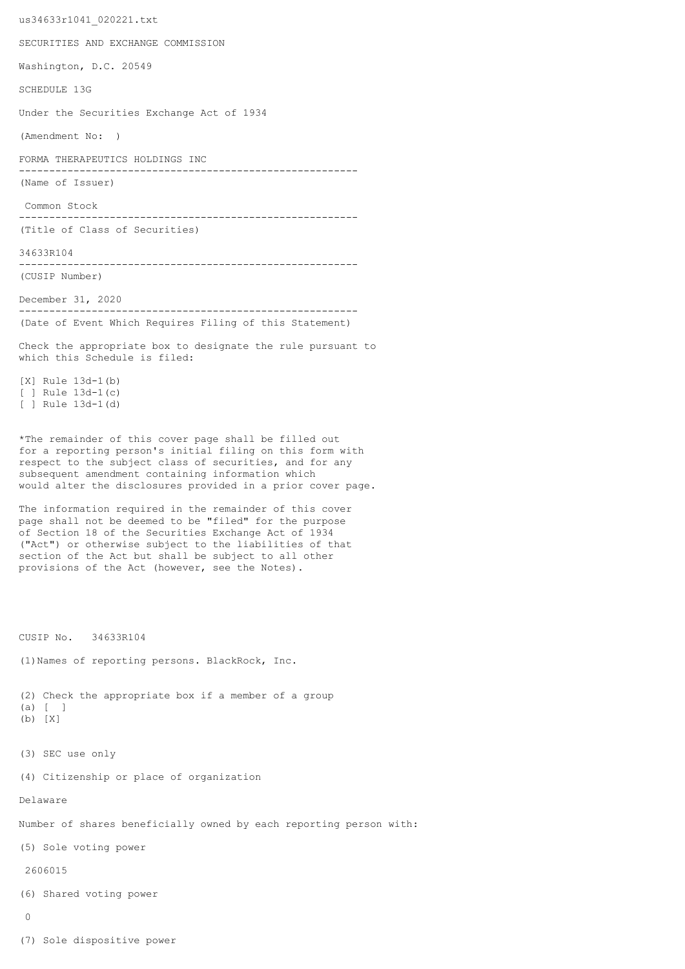us34633r1041\_020221.txt SECURITIES AND EXCHANGE COMMISSION Washington, D.C. 20549 SCHEDULE 13G Under the Securities Exchange Act of 1934 (Amendment No: ) FORMA THERAPEUTICS HOLDINGS INC -------------------------------------------------------- (Name of Issuer) Common Stock -------------------------------------------------------- (Title of Class of Securities) 34633R104 -------------------------------------------------------- (CUSIP Number) December 31, 2020 -------------------------------------------------------- (Date of Event Which Requires Filing of this Statement) Check the appropriate box to designate the rule pursuant to which this Schedule is filed: [X] Rule 13d-1(b) [ ] Rule 13d-1(c) [ ] Rule 13d-1(d) \*The remainder of this cover page shall be filled out for a reporting person's initial filing on this form with respect to the subject class of securities, and for any subsequent amendment containing information which would alter the disclosures provided in a prior cover page. The information required in the remainder of this cover page shall not be deemed to be "filed" for the purpose of Section 18 of the Securities Exchange Act of 1934 ("Act") or otherwise subject to the liabilities of that section of the Act but shall be subject to all other provisions of the Act (however, see the Notes). CUSIP No. 34633R104 (1)Names of reporting persons. BlackRock, Inc. (2) Check the appropriate box if a member of a group (a) [ ] (b) [X] (3) SEC use only (4) Citizenship or place of organization Delaware Number of shares beneficially owned by each reporting person with: (5) Sole voting power 2606015 (6) Shared voting power  $\cap$ (7) Sole dispositive power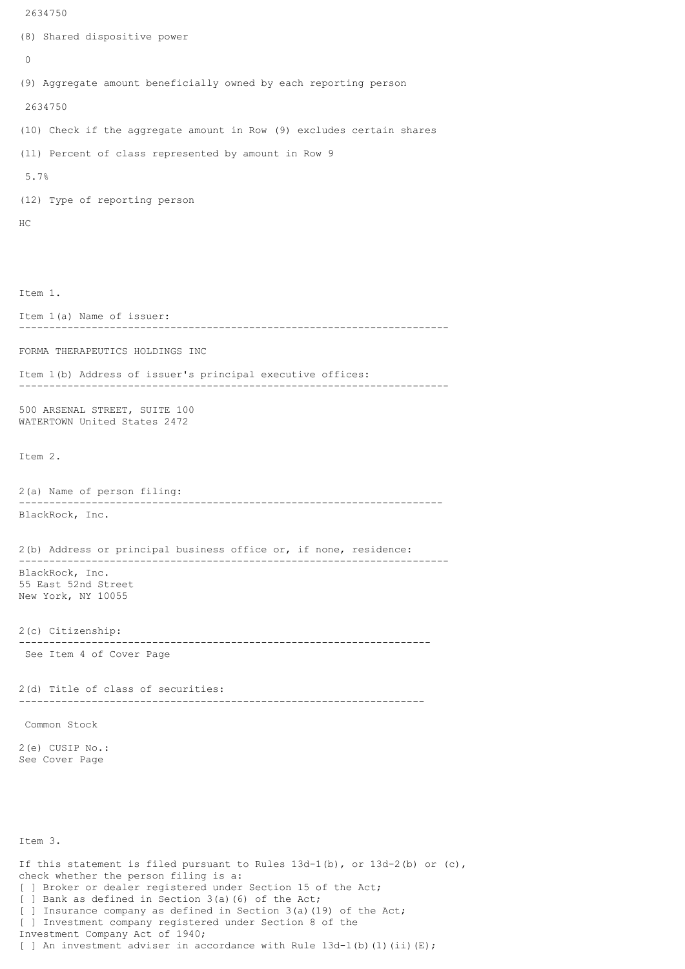```
(8) Shared dispositive power
 \Omega(9) Aggregate amount beneficially owned by each reporting person
 2634750
(10) Check if the aggregate amount in Row (9) excludes certain shares
(11) Percent of class represented by amount in Row 9
 5.7%
(12) Type of reporting person
HC
Item 1.
Item 1(a) Name of issuer:
          -----------------------------------------------------------------------
FORMA THERAPEUTICS HOLDINGS INC
Item 1(b) Address of issuer's principal executive offices:
-----------------------------------------------------------------------
500 ARSENAL STREET, SUITE 100
WATERTOWN United States 2472
Item 2.
2(a) Name of person filing:
    ----------------------------------------------------------------------
BlackRock, Inc.
2(b) Address or principal business office or, if none, residence:
-----------------------------------------------------------------------
BlackRock, Inc.
55 East 52nd Street
New York, NY 10055
2(c) Citizenship:
 --------------------------------------------------------------------
 See Item 4 of Cover Page
2(d) Title of class of securities:
                                    -------------------------------------------------------------------
 Common Stock
2(e) CUSIP No.:
See Cover Page
Item 3.
If this statement is filed pursuant to Rules 13d-1(b), or 13d-2(b) or (c),
check whether the person filing is a:
[ ] Broker or dealer registered under Section 15 of the Act;
[ ] Bank as defined in Section 3(a)(6) of the Act;
[ ] Insurance company as defined in Section 3(a)(19) of the Act;
```
[ ] Investment company registered under Section 8 of the

[ ] An investment adviser in accordance with Rule  $13d-1$ (b)(1)(ii)(E);

Investment Company Act of 1940;

2634750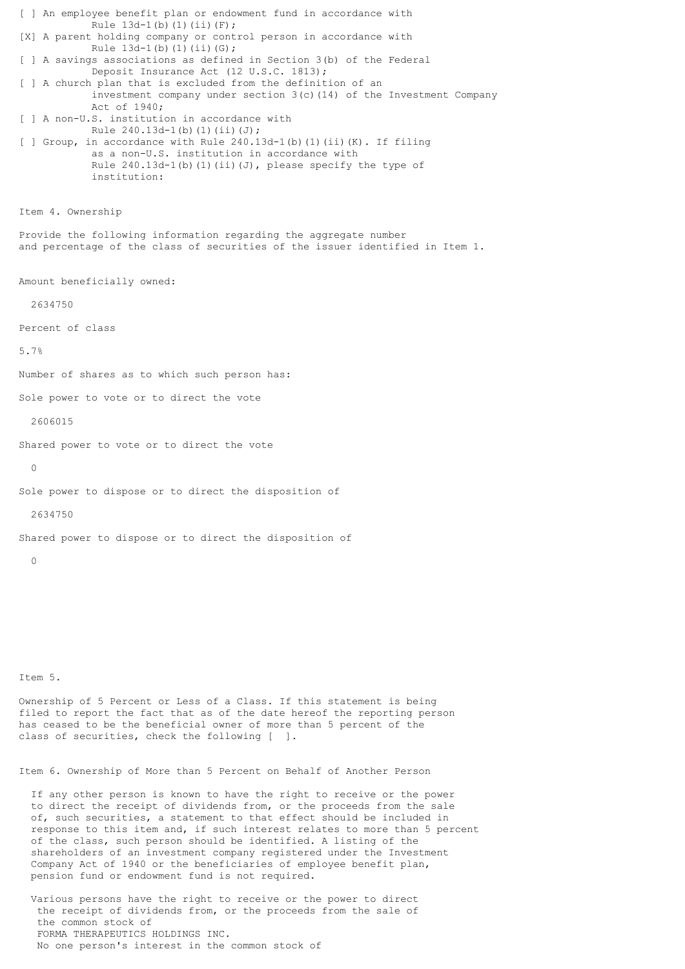[ ] An employee benefit plan or endowment fund in accordance with Rule 13d-1(b)(1)(ii)(F); [X] A parent holding company or control person in accordance with Rule  $13d-1(b)(1)(ii)(G);$ [ ] A savings associations as defined in Section 3(b) of the Federal Deposit Insurance Act (12 U.S.C. 1813); [ ] A church plan that is excluded from the definition of an investment company under section  $3(c)$  (14) of the Investment Company Act of 1940; [ ] A non-U.S. institution in accordance with Rule  $240.13d-1(b)(1)(ii)(J);$ [ ] Group, in accordance with Rule 240.13d-1(b)(1)(ii)(K). If filing as a non-U.S. institution in accordance with Rule  $240.13d-1$ (b)(1)(ii)(J), please specify the type of institution: Item 4. Ownership Provide the following information regarding the aggregate number and percentage of the class of securities of the issuer identified in Item 1. Amount beneficially owned: 2634750 Percent of class 5.7% Number of shares as to which such person has: Sole power to vote or to direct the vote 2606015 Shared power to vote or to direct the vote  $\Omega$ Sole power to dispose or to direct the disposition of 2634750 Shared power to dispose or to direct the disposition of  $\cap$ Item 5. Ownership of 5 Percent or Less of a Class. If this statement is being

filed to report the fact that as of the date hereof the reporting person has ceased to be the beneficial owner of more than 5 percent of the class of securities, check the following [ ].

Item 6. Ownership of More than 5 Percent on Behalf of Another Person

 If any other person is known to have the right to receive or the power to direct the receipt of dividends from, or the proceeds from the sale of, such securities, a statement to that effect should be included in response to this item and, if such interest relates to more than 5 percent of the class, such person should be identified. A listing of the shareholders of an investment company registered under the Investment Company Act of 1940 or the beneficiaries of employee benefit plan, pension fund or endowment fund is not required.

 Various persons have the right to receive or the power to direct the receipt of dividends from, or the proceeds from the sale of the common stock of FORMA THERAPEUTICS HOLDINGS INC. No one person's interest in the common stock of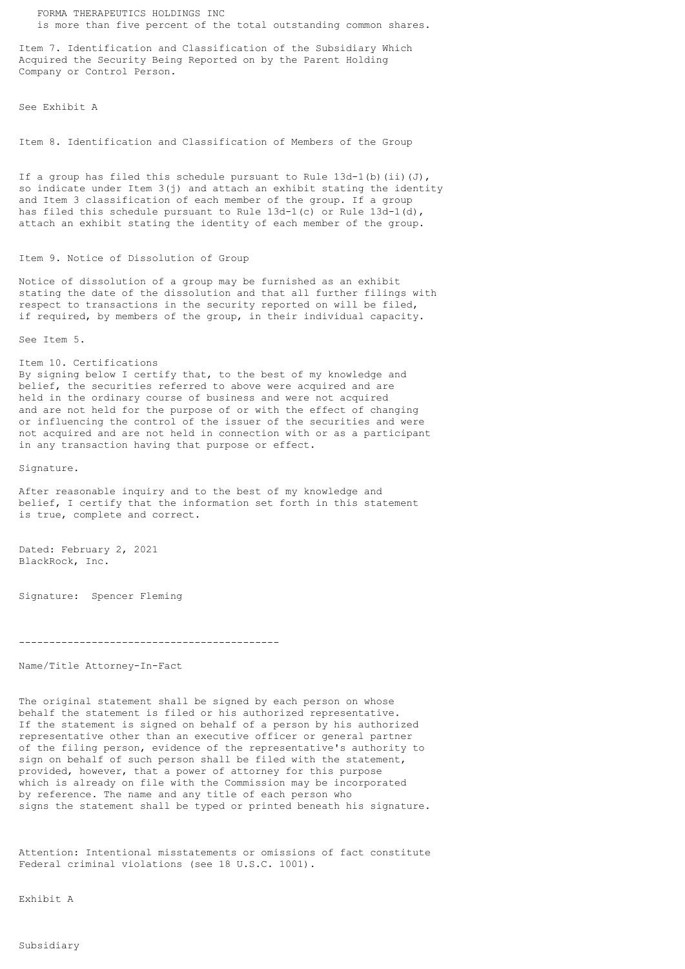FORMA THERAPEUTICS HOLDINGS INC is more than five percent of the total outstanding common shares.

Item 7. Identification and Classification of the Subsidiary Which Acquired the Security Being Reported on by the Parent Holding Company or Control Person.

See Exhibit A

Item 8. Identification and Classification of Members of the Group

If a group has filed this schedule pursuant to Rule  $13d-1(b)$  (ii)(J), so indicate under Item 3(j) and attach an exhibit stating the identity and Item 3 classification of each member of the group. If a group has filed this schedule pursuant to Rule 13d-1(c) or Rule 13d-1(d), attach an exhibit stating the identity of each member of the group.

## Item 9. Notice of Dissolution of Group

Notice of dissolution of a group may be furnished as an exhibit stating the date of the dissolution and that all further filings with respect to transactions in the security reported on will be filed, if required, by members of the group, in their individual capacity.

See Item 5.

Item 10. Certifications

By signing below I certify that, to the best of my knowledge and belief, the securities referred to above were acquired and are held in the ordinary course of business and were not acquired and are not held for the purpose of or with the effect of changing or influencing the control of the issuer of the securities and were not acquired and are not held in connection with or as a participant in any transaction having that purpose or effect.

Signature.

After reasonable inquiry and to the best of my knowledge and belief, I certify that the information set forth in this statement is true, complete and correct.

Dated: February 2, 2021 BlackRock, Inc.

Signature: Spencer Fleming

```
-------------------------------------------
```
Name/Title Attorney-In-Fact

The original statement shall be signed by each person on whose behalf the statement is filed or his authorized representative. If the statement is signed on behalf of a person by his authorized representative other than an executive officer or general partner of the filing person, evidence of the representative's authority to sign on behalf of such person shall be filed with the statement, provided, however, that a power of attorney for this purpose which is already on file with the Commission may be incorporated by reference. The name and any title of each person who signs the statement shall be typed or printed beneath his signature.

Attention: Intentional misstatements or omissions of fact constitute Federal criminal violations (see 18 U.S.C. 1001).

Exhibit A